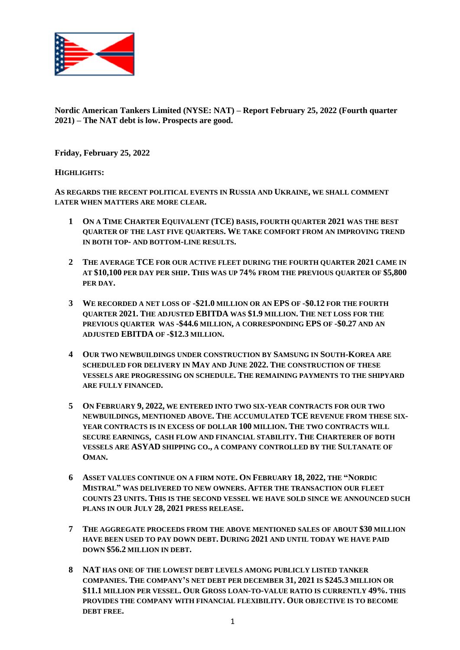

**Nordic American Tankers Limited (NYSE: NAT) – Report February 25, 2022 (Fourth quarter 2021) – The NAT debt is low. Prospects are good.**

**Friday, February 25, 2022**

### **HIGHLIGHTS:**

**AS REGARDS THE RECENT POLITICAL EVENTS IN RUSSIA AND UKRAINE, WE SHALL COMMENT LATER WHEN MATTERS ARE MORE CLEAR.**

- **1 ON A TIME CHARTER EQUIVALENT (TCE) BASIS, FOURTH QUARTER 2021 WAS THE BEST QUARTER OF THE LAST FIVE QUARTERS. WE TAKE COMFORT FROM AN IMPROVING TREND IN BOTH TOP- AND BOTTOM-LINE RESULTS.**
- **2 THE AVERAGE TCE FOR OUR ACTIVE FLEET DURING THE FOURTH QUARTER 2021 CAME IN AT \$10,100 PER DAY PER SHIP. THIS WAS UP 74% FROM THE PREVIOUS QUARTER OF \$5,800 PER DAY.**
- **3 WE RECORDED A NET LOSS OF -\$21.0 MILLION OR AN EPS OF -\$0.12 FOR THE FOURTH QUARTER 2021. THE ADJUSTED EBITDA WAS \$1.9 MILLION. THE NET LOSS FOR THE PREVIOUS QUARTER WAS -\$44.6 MILLION, A CORRESPONDING EPS OF -\$0.27 AND AN ADJUSTED EBITDA OF -\$12.3 MILLION.**
- **4 OUR TWO NEWBUILDINGS UNDER CONSTRUCTION BY SAMSUNG IN SOUTH-KOREA ARE SCHEDULED FOR DELIVERY IN MAY AND JUNE 2022. THE CONSTRUCTION OF THESE VESSELS ARE PROGRESSING ON SCHEDULE. THE REMAINING PAYMENTS TO THE SHIPYARD ARE FULLY FINANCED.**
- **5 ON FEBRUARY 9, 2022, WE ENTERED INTO TWO SIX-YEAR CONTRACTS FOR OUR TWO NEWBUILDINGS, MENTIONED ABOVE. THE ACCUMULATED TCE REVENUE FROM THESE SIX-YEAR CONTRACTS IS IN EXCESS OF DOLLAR 100 MILLION. THE TWO CONTRACTS WILL SECURE EARNINGS, CASH FLOW AND FINANCIAL STABILITY. THE CHARTERER OF BOTH VESSELS ARE ASYAD SHIPPING CO., A COMPANY CONTROLLED BY THE SULTANATE OF OMAN.**
- **6 ASSET VALUES CONTINUE ON A FIRM NOTE. ON FEBRUARY 18, 2022, THE "NORDIC MISTRAL" WAS DELIVERED TO NEW OWNERS. AFTER THE TRANSACTION OUR FLEET COUNTS 23 UNITS. THIS IS THE SECOND VESSEL WE HAVE SOLD SINCE WE ANNOUNCED SUCH PLANS IN OUR JULY 28, 2021 PRESS RELEASE.**
- **7 THE AGGREGATE PROCEEDS FROM THE ABOVE MENTIONED SALES OF ABOUT \$30 MILLION HAVE BEEN USED TO PAY DOWN DEBT. DURING 2021 AND UNTIL TODAY WE HAVE PAID DOWN \$56.2 MILLION IN DEBT.**
- **8 NAT HAS ONE OF THE LOWEST DEBT LEVELS AMONG PUBLICLY LISTED TANKER COMPANIES. THE COMPANY'S NET DEBT PER DECEMBER 31, 2021 IS \$245.3 MILLION OR \$11.1 MILLION PER VESSEL. OUR GROSS LOAN-TO-VALUE RATIO IS CURRENTLY 49%. THIS PROVIDES THE COMPANY WITH FINANCIAL FLEXIBILITY. OUR OBJECTIVE IS TO BECOME DEBT FREE.**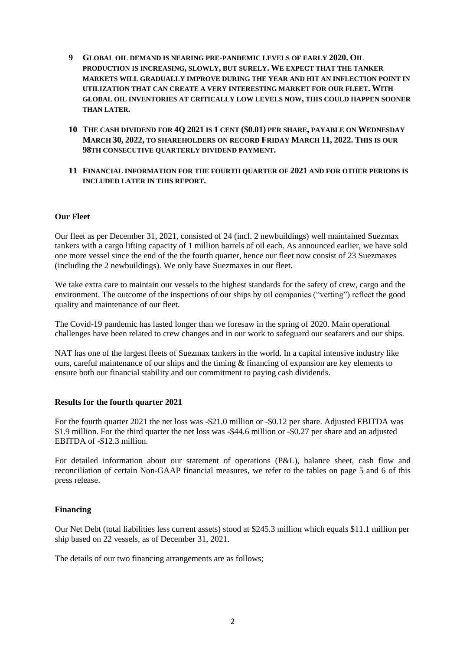- **9 GLOBAL OIL DEMAND IS NEARING PRE-PANDEMIC LEVELS OF EARLY 2020. OIL PRODUCTION IS INCREASING, SLOWLY, BUT SURELY. WE EXPECT THAT THE TANKER MARKETS WILL GRADUALLY IMPROVE DURING THE YEAR AND HIT AN INFLECTION POINT IN UTILIZATION THAT CAN CREATE A VERY INTERESTING MARKET FOR OUR FLEET. WITH GLOBAL OIL INVENTORIES AT CRITICALLY LOW LEVELS NOW, THIS COULD HAPPEN SOONER THAN LATER.**
- **10 THE CASH DIVIDEND FOR 4Q 2021 IS 1 CENT (\$0.01) PER SHARE, PAYABLE ON WEDNESDAY MARCH 30, 2022, TO SHAREHOLDERS ON RECORD FRIDAY MARCH 11, 2022. THIS IS OUR 98TH CONSECUTIVE QUARTERLY DIVIDEND PAYMENT.**
- **11 FINANCIAL INFORMATION FOR THE FOURTH QUARTER OF 2021 AND FOR OTHER PERIODS IS INCLUDED LATER IN THIS REPORT.**

### **Our Fleet**

Our fleet as per December 31, 2021, consisted of 24 (incl. 2 newbuildings) well maintained Suezmax tankers with a cargo lifting capacity of 1 million barrels of oil each. As announced earlier, we have sold one more vessel since the end of the the fourth quarter, hence our fleet now consist of 23 Suezmaxes (including the 2 newbuildings). We only have Suezmaxes in our fleet.

We take extra care to maintain our vessels to the highest standards for the safety of crew, cargo and the environment. The outcome of the inspections of our ships by oil companies ("vetting") reflect the good quality and maintenance of our fleet.

The Covid-19 pandemic has lasted longer than we foresaw in the spring of 2020. Main operational challenges have been related to crew changes and in our work to safeguard our seafarers and our ships.

NAT has one of the largest fleets of Suezmax tankers in the world. In a capital intensive industry like ours, careful maintenance of our ships and the timing  $\&$  financing of expansion are key elements to ensure both our financial stability and our commitment to paying cash dividends.

#### **Results for the fourth quarter 2021**

For the fourth quarter 2021 the net loss was -\$21.0 million or -\$0.12 per share. Adjusted EBITDA was \$1.9 million. For the third quarter the net loss was -\$44.6 million or -\$0.27 per share and an adjusted EBITDA of -\$12.3 million.

For detailed information about our statement of operations (P&L), balance sheet, cash flow and reconciliation of certain Non-GAAP financial measures, we refer to the tables on page 5 and 6 of this press release.

### **Financing**

Our Net Debt (total liabilities less current assets) stood at \$245.3 million which equals \$11.1 million per ship based on 22 vessels, as of December 31, 2021.

The details of our two financing arrangements are as follows;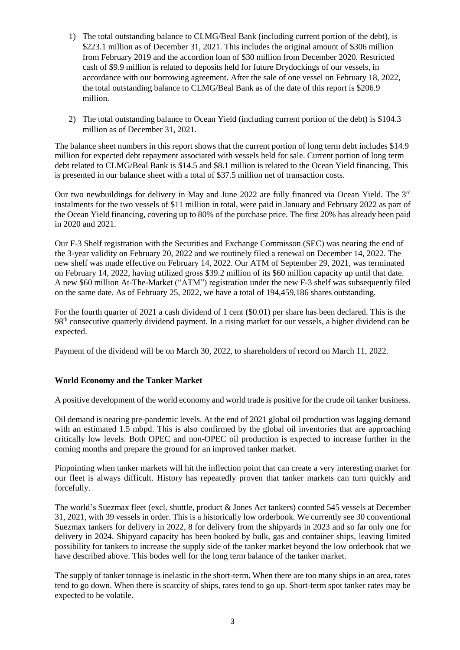- 1) The total outstanding balance to CLMG/Beal Bank (including current portion of the debt), is \$223.1 million as of December 31, 2021. This includes the original amount of \$306 million from February 2019 and the accordion loan of \$30 million from December 2020. Restricted cash of \$9.9 million is related to deposits held for future Drydockings of our vessels, in accordance with our borrowing agreement. After the sale of one vessel on February 18, 2022, the total outstanding balance to CLMG/Beal Bank as of the date of this report is \$206.9 million.
- 2) The total outstanding balance to Ocean Yield (including current portion of the debt) is \$104.3 million as of December 31, 2021.

The balance sheet numbers in this report shows that the current portion of long term debt includes \$14.9 million for expected debt repayment associated with vessels held for sale. Current portion of long term debt related to CLMG/Beal Bank is \$14.5 and \$8.1 million is related to the Ocean Yield financing. This is presented in our balance sheet with a total of \$37.5 million net of transaction costs.

Our two newbuildings for delivery in May and June 2022 are fully financed via Ocean Yield. The 3<sup>rd</sup> instalments for the two vessels of \$11 million in total, were paid in January and February 2022 as part of the Ocean Yield financing, covering up to 80% of the purchase price. The first 20% has already been paid in 2020 and 2021.

Our F-3 Shelf registration with the Securities and Exchange Commisson (SEC) was nearing the end of the 3-year validity on February 20, 2022 and we routinely filed a renewal on December 14, 2022. The new shelf was made effective on February 14, 2022. Our ATM of September 29, 2021, was terminated on February 14, 2022, having utilized gross \$39.2 million of its \$60 million capacity up until that date. A new \$60 million At-The-Market ("ATM") registration under the new F-3 shelf was subsequently filed on the same date. As of February 25, 2022, we have a total of 194,459,186 shares outstanding.

For the fourth quarter of 2021 a cash dividend of 1 cent (\$0.01) per share has been declared. This is the 98<sup>th</sup> consecutive quarterly dividend payment. In a rising market for our vessels, a higher dividend can be expected.

Payment of the dividend will be on March 30, 2022, to shareholders of record on March 11, 2022.

# **World Economy and the Tanker Market**

A positive development of the world economy and world trade is positive for the crude oil tanker business.

Oil demand is nearing pre-pandemic levels. At the end of 2021 global oil production was lagging demand with an estimated 1.5 mbpd. This is also confirmed by the global oil inventories that are approaching critically low levels. Both OPEC and non-OPEC oil production is expected to increase further in the coming months and prepare the ground for an improved tanker market.

Pinpointing when tanker markets will hit the inflection point that can create a very interesting market for our fleet is always difficult. History has repeatedly proven that tanker markets can turn quickly and forcefully.

The world's Suezmax fleet (excl. shuttle, product & Jones Act tankers) counted 545 vessels at December 31, 2021, with 39 vessels in order. This is a historically low orderbook. We currently see 30 conventional Suezmax tankers for delivery in 2022, 8 for delivery from the shipyards in 2023 and so far only one for delivery in 2024. Shipyard capacity has been booked by bulk, gas and container ships, leaving limited possibility for tankers to increase the supply side of the tanker market beyond the low orderbook that we have described above. This bodes well for the long term balance of the tanker market.

The supply of tanker tonnage is inelastic in the short-term. When there are too many ships in an area, rates tend to go down. When there is scarcity of ships, rates tend to go up. Short-term spot tanker rates may be expected to be volatile.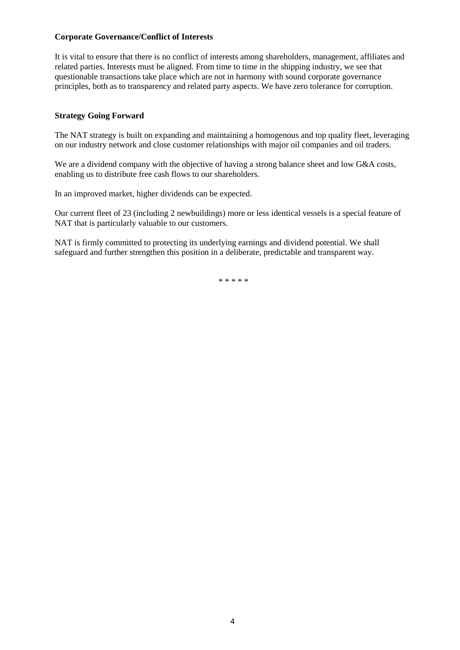### **Corporate Governance/Conflict of Interests**

It is vital to ensure that there is no conflict of interests among shareholders, management, affiliates and related parties. Interests must be aligned. From time to time in the shipping industry, we see that questionable transactions take place which are not in harmony with sound corporate governance principles, both as to transparency and related party aspects. We have zero tolerance for corruption.

# **Strategy Going Forward**

The NAT strategy is built on expanding and maintaining a homogenous and top quality fleet, leveraging on our industry network and close customer relationships with major oil companies and oil traders.

We are a dividend company with the objective of having a strong balance sheet and low G&A costs, enabling us to distribute free cash flows to our shareholders.

In an improved market, higher dividends can be expected.

Our current fleet of 23 (including 2 newbuildings) more or less identical vessels is a special feature of NAT that is particularly valuable to our customers.

NAT is firmly committed to protecting its underlying earnings and dividend potential. We shall safeguard and further strengthen this position in a deliberate, predictable and transparent way.

\* \* \* \* \*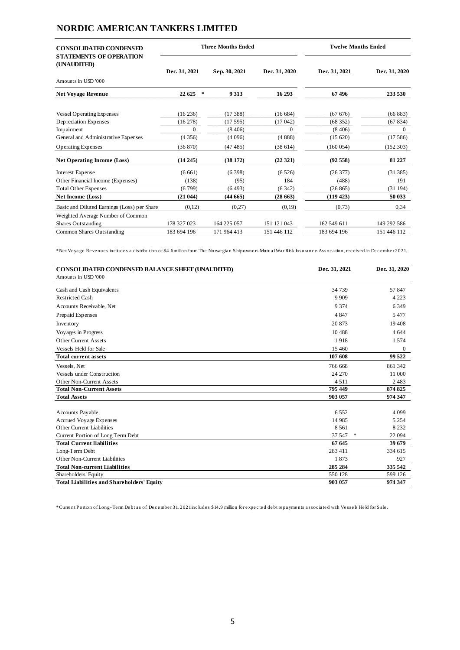# **NORDIC AMERICAN TANKERS LIMITED**

| <b>CONSOLIDATED CONDENSED</b><br><b>STATEMENTS OF OPERATION</b> | <b>Three Months Ended</b> |               |               | <b>Twelve Months Ended</b> |               |
|-----------------------------------------------------------------|---------------------------|---------------|---------------|----------------------------|---------------|
| (UNAUDITED)                                                     | Dec. 31, 2021             | Sep. 30, 2021 | Dec. 31, 2020 | Dec. 31, 2021              | Dec. 31, 2020 |
| Amounts in USD '000                                             |                           |               |               |                            |               |
| <b>Net Voyage Revenue</b>                                       | 22 625<br>$\ast$          | 9 3 1 3       | 16 29 3       | 67496                      | 233 530       |
| <b>Vessel Operating Expenses</b>                                | (16236)                   | (17388)       | (16684)       | (6767)                     | (66 883)      |
| Depreciation Expenses                                           | (16278)                   | (17595)       | (17042)       | (68352)                    | (67834)       |
| Impairment                                                      | $\Omega$                  | (8406)        | $\Omega$      | (8406)                     | $\Omega$      |
| General and Administrative Expenses                             | (4356)                    | (4096)        | (4888)        | (15620)                    | (17586)       |
| <b>Operating Expenses</b>                                       | (36 870)                  | (47485)       | (38614)       | (160054)                   | (152 303)     |
| <b>Net Operating Income (Loss)</b>                              | (14245)                   | (38172)       | (22321)       | (92558)                    | 81 227        |
| Interest Expense                                                | (6661)                    | (6398)        | (6526)        | (26377)                    | (31385)       |
| Other Financial Income (Expenses)                               | (138)                     | (95)          | 184           | (488)                      | 191           |
| <b>Total Other Expenses</b>                                     | (6799)                    | (6493)        | (6342)        | (26865)                    | (31194)       |
| <b>Net Income (Loss)</b>                                        | (21044)                   | (44665)       | (28663)       | (119 423)                  | 50 033        |
| Basic and Diluted Earnings (Loss) per Share                     | (0,12)                    | (0,27)        | (0,19)        | (0,73)                     | 0,34          |
| Weighted Average Number of Common                               |                           |               |               |                            |               |
| Shares Outstanding                                              | 178 327 023               | 164 225 057   | 151 121 043   | 162 549 611                | 149 292 586   |
| Common Shares Outstanding                                       | 183 694 196               | 171 964 413   | 151 446 112   | 183 694 196                | 151 446 112   |

\* Ne t Voya ge Re ve nue s inc lude s a distribution of \$4.6million from The Norwe gia n S hipowne rs Mutua l Wa r Risk Insura nc e Assoc a tion, re c e ive d in De c e mbe r 2021.

| CONSOLIDATED CONDENSED BALANCE SHEET (UNAUDITED)<br>Amounts in USD '000 | Dec. 31, 2021      | Dec. 31, 2020      |  |
|-------------------------------------------------------------------------|--------------------|--------------------|--|
|                                                                         |                    |                    |  |
| Cash and Cash Equivalents                                               | 34 739             | 57847              |  |
| <b>Restricted Cash</b>                                                  | 9 9 0 9            | 4 2 2 3            |  |
| Accounts Receivable, Net                                                | 9 3 7 4            | 6 3 4 9            |  |
| Prepaid Expenses                                                        | 4 8 4 7            | 5477               |  |
| Inventory                                                               | 20 873             | 19 408             |  |
| Voyages in Progress                                                     | 10488              | 4 6 4 4            |  |
| Other Current Assets                                                    | 1918               | 1574               |  |
| <b>Vessels Held for Sale</b>                                            | 15 4 60            | $\boldsymbol{0}$   |  |
| <b>Total current assets</b>                                             | 107 608            | 99 522             |  |
| Vessels, Net                                                            | 766 668            | 861 342            |  |
| <b>Vessels under Construction</b>                                       | 24 270             | 11 000             |  |
| Other Non-Current Assets                                                | 4511               | 2483               |  |
| <b>Total Non-Current Assets</b>                                         | 795 449            | 874 825            |  |
| <b>Total Assets</b>                                                     | 903 057            | 974 347            |  |
|                                                                         | 6552               | 4 0 9 9            |  |
| Accounts Payable                                                        |                    |                    |  |
| Accrued Voyage Expenses<br>Other Current Liabilities                    | 14 9 85<br>8 5 6 1 | 5 2 5 4<br>8 2 3 2 |  |
|                                                                         | 37 547<br>*        | 22 094             |  |
| Current Portion of Long Term Debt<br><b>Total Current liabilities</b>   | 67 645             | 39 679             |  |
|                                                                         | 283 411            | 334 615            |  |
| Long-Term Debt                                                          |                    |                    |  |
| Other Non-Current Liabilities                                           | 1873               | 927                |  |
| <b>Total Non-current Liabilities</b>                                    | 285 284            | 335 542            |  |
| Shareholders' Equity                                                    | 550 128            | 599 126            |  |
| <b>Total Liabilities and Shareholders' Equity</b>                       | 903 057            | 974 347            |  |

\* Curre nt P ortion of Long- Te rm De bt a s of De c e mbe r 31, 2021 inc lude s \$14.9 million for e xpe c te d de bt re pa yme nts a ssoc ia te d with Ve sse ls He ld for S a le .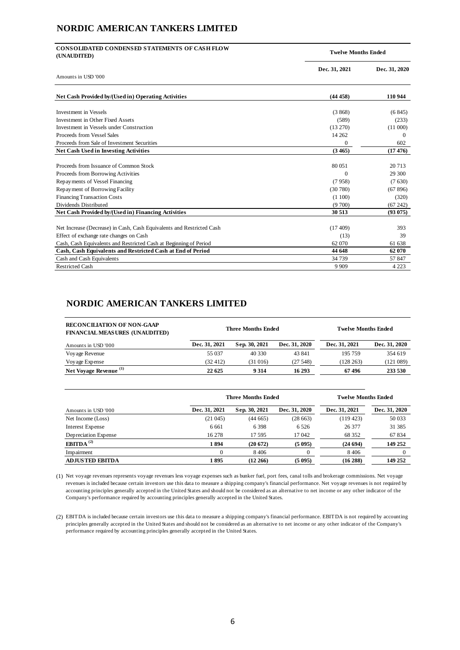# **NORDIC AMERICAN TANKERS LIMITED**

| <b>CONSOLIDATED CONDENSED STATEMENTS OF CASH FLOW</b><br>(UNAUDITED)  | <b>Twelve Months Ended</b> |               |  |
|-----------------------------------------------------------------------|----------------------------|---------------|--|
|                                                                       | Dec. 31, 2021              | Dec. 31, 2020 |  |
| Amounts in USD '000                                                   |                            |               |  |
| Net Cash Provided by/(Used in) Operating Activities                   | (44458)                    | 110 944       |  |
| <b>Investment in Vessels</b>                                          | (3868)                     | (6845)        |  |
| Investment in Other Fixed Assets                                      | (589)                      | (233)         |  |
| Investment in Vessels under Construction                              | (13 270)                   | (11000)       |  |
| Proceeds from Vessel Sales                                            | 14 2 6 2                   | $\Omega$      |  |
| Proceeds from Sale of Investment Securities                           | $\Omega$                   | 602           |  |
| <b>Net Cash Used in Investing Activities</b>                          | (3465)                     | (17476)       |  |
| Proceeds from Issuance of Common Stock                                | 80 051                     | 20713         |  |
| Proceeds from Borrowing Activities                                    | $\Omega$                   | 29 300        |  |
| Repayments of Vessel Financing                                        | (7958)                     | (7630)        |  |
| Repayment of Borrowing Facility                                       | (30780)                    | (67896)       |  |
| <b>Financing Transaction Costs</b>                                    | (1100)                     | (320)         |  |
| Dividends Distributed                                                 | (9700)                     | (67242)       |  |
| Net Cash Provided by/(Used in) Financing Activities                   | 30 513                     | (93075)       |  |
| Net Increase (Decrease) in Cash, Cash Equivalents and Restricted Cash | (17409)                    | 393           |  |
|                                                                       |                            |               |  |
| Effect of exchange rate changes on Cash                               | (13)                       | 39            |  |
| Cash, Cash Equivalents and Restricted Cash at Beginning of Period     | 62 070                     | 61 638        |  |
| Cash, Cash Equivalents and Restricted Cash at End of Period           | 44 648                     | 62 070        |  |
| Cash and Cash Equivalents                                             | 34 739                     | 57 847        |  |
| <b>Restricted Cash</b>                                                | 9 9 0 9                    | 4 2 2 3       |  |

# **NORDIC AMERICAN TANKERS LIMITED**

| <b>RECONCILIATION OF NON-GAAP</b><br><b>FINANCIAL MEASURES (UNAUDITED)</b> | <b>Three Months Ended</b> |               |               | <b>Twelve Months Ended</b> |               |
|----------------------------------------------------------------------------|---------------------------|---------------|---------------|----------------------------|---------------|
| Amounts in USD '000                                                        | Dec. 31, 2021             | Sep. 30, 2021 | Dec. 31, 2020 | Dec. 31, 2021              | Dec. 31, 2020 |
| Voyage Revenue                                                             | 55 037                    | 40 330        | 43 841        | 195 759                    | 354 619       |
| Voyage Expense                                                             | (32, 412)                 | (31016)       | (27548)       | (128 263)                  | (121 089)     |
| Net Voyage Revenue <sup>(1)</sup>                                          | 22 625                    | 9 3 1 4       | 16 29 3       | 67496                      | 233 530       |

|                        | <b>Three Months Ended</b> |               |               | <b>Twelve Months Ended</b> |               |
|------------------------|---------------------------|---------------|---------------|----------------------------|---------------|
| Amounts in USD '000    | Dec. 31, 2021             | Sep. 30, 2021 | Dec. 31, 2020 | Dec. 31, 2021              | Dec. 31, 2020 |
| Net Income (Loss)      | (21045)                   | (44665)       | (28663)       | (119423)                   | 50 033        |
| Interest Expense       | 6 6 6 1                   | 6398          | 6 5 2 6       | 26 377                     | 31 385        |
| Depreciation Expense   | 16 278                    | 17 595        | 17 042        | 68 352                     | 67834         |
| EBITDA <sup>(2)</sup>  | 1894                      | (20672)       | (5095)        | (24694)                    | 149 252       |
| Impairment             |                           | 8406          |               | 8406                       |               |
| <b>ADJUSTED EBITDA</b> | 1895                      | (12, 266)     | (5095)        | (16288)                    | 149 252       |

(1) Net voyage revenues represents voyage revenues less voyage expenses such as bunker fuel, port fees, canal tolls and brokerage commissions. Net voyage revenues is included because certain investors use this data to measure a shipping company's financial performance. Net voyage revenues is not required by accounting principles generally accepted in the United States and should not be considered as an alternative to net income or any other indicator of the Company's performance required by accounting principles generally accepted in the United States.

(2) EBITDA is included because certain investors use this data to measure a shipping company's financial performance. EBITDA is not required by accounting principles generally accepted in the United States and should not be considered as an alternative to net income or any other indicator of the Company's performance required by accounting principles generally accepted in the United States.